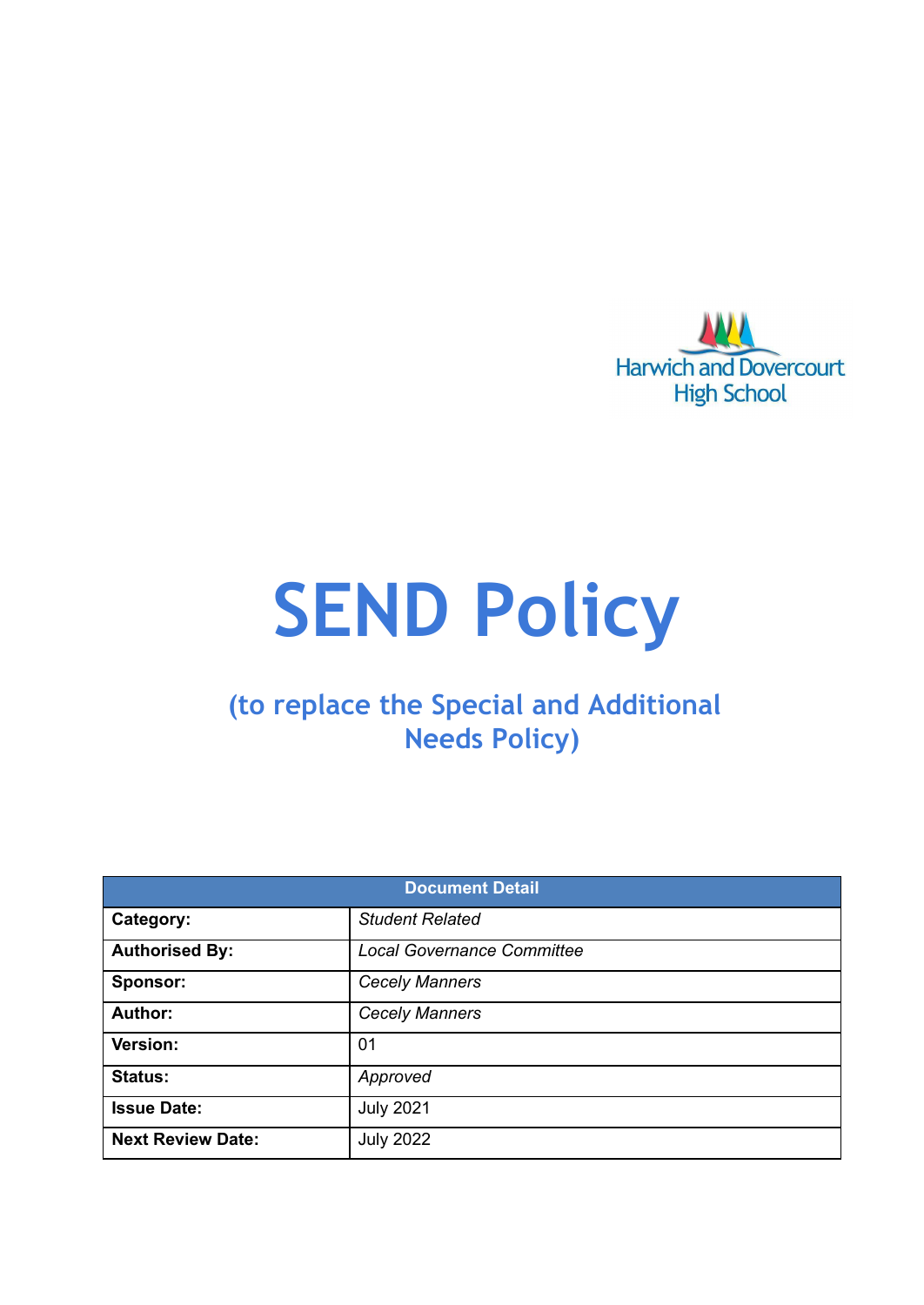

# **SEND Policy**

## **(to replace the Special and Additional Needs Policy)**

| <b>Document Detail</b>   |                                   |  |  |
|--------------------------|-----------------------------------|--|--|
| Category:                | <b>Student Related</b>            |  |  |
| <b>Authorised By:</b>    | <b>Local Governance Committee</b> |  |  |
| Sponsor:                 | <b>Cecely Manners</b>             |  |  |
| Author:                  | <b>Cecely Manners</b>             |  |  |
| Version:                 | 01                                |  |  |
| <b>Status:</b>           | Approved                          |  |  |
| <b>Issue Date:</b>       | <b>July 2021</b>                  |  |  |
| <b>Next Review Date:</b> | <b>July 2022</b>                  |  |  |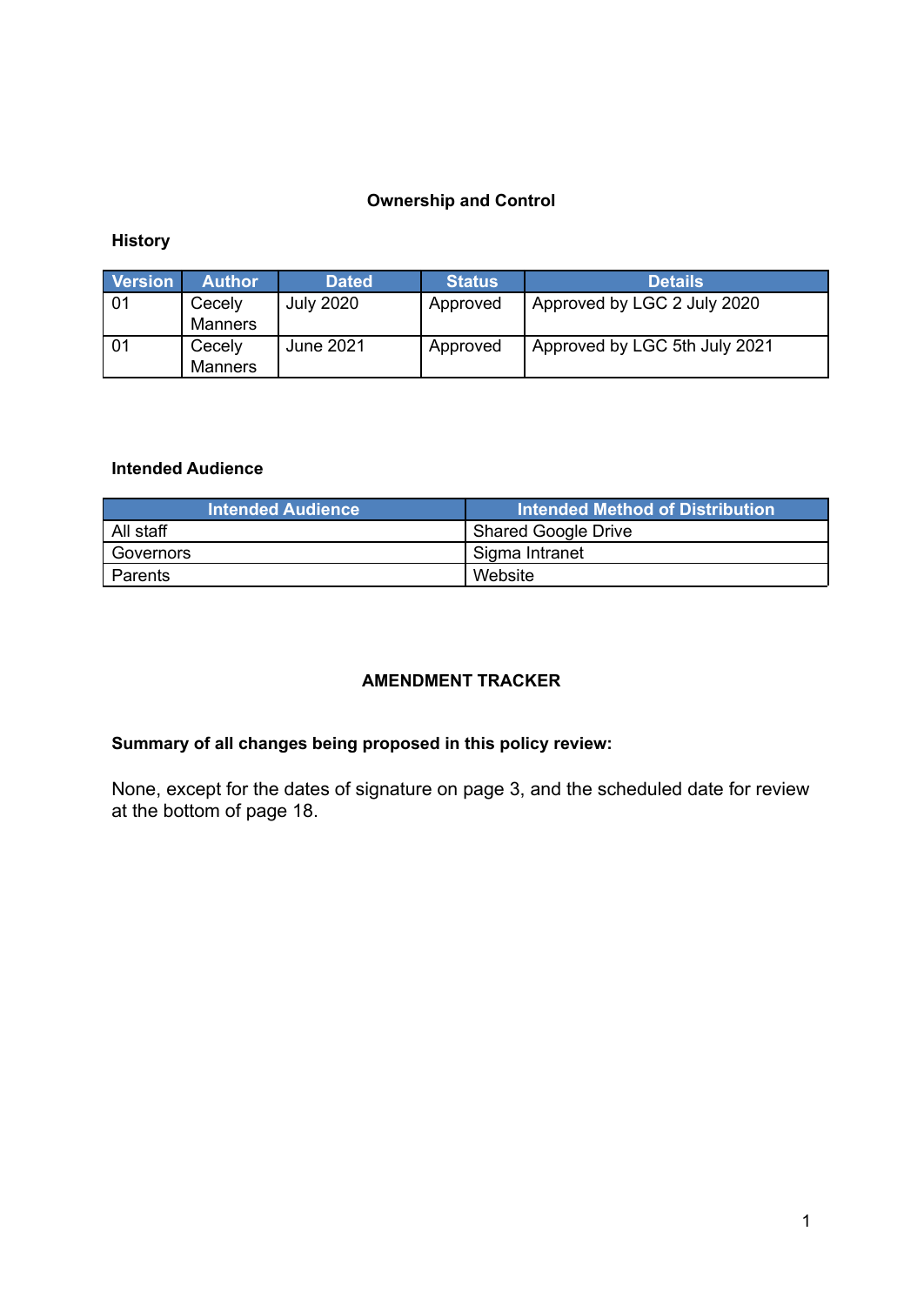#### **Ownership and Control**

#### **History**

| <b>Version</b> | 'Author                  | <b>Dated</b>     | <b>Status</b> | <b>Details</b>                |
|----------------|--------------------------|------------------|---------------|-------------------------------|
| -01            | Cecely<br><b>Manners</b> | <b>July 2020</b> | Approved      | Approved by LGC 2 July 2020   |
| -01            | Cecely<br><b>Manners</b> | June 2021        | Approved      | Approved by LGC 5th July 2021 |

#### **Intended Audience**

| <b>Intended Audience</b> | <b>Intended Method of Distribution</b> |
|--------------------------|----------------------------------------|
| All staff                | Shared Google Drive                    |
| Governors                | I Sigma Intranet                       |
| Parents                  | Website                                |

#### **AMENDMENT TRACKER**

#### **Summary of all changes being proposed in this policy review:**

None, except for the dates of signature on page 3, and the scheduled date for review at the bottom of page 18.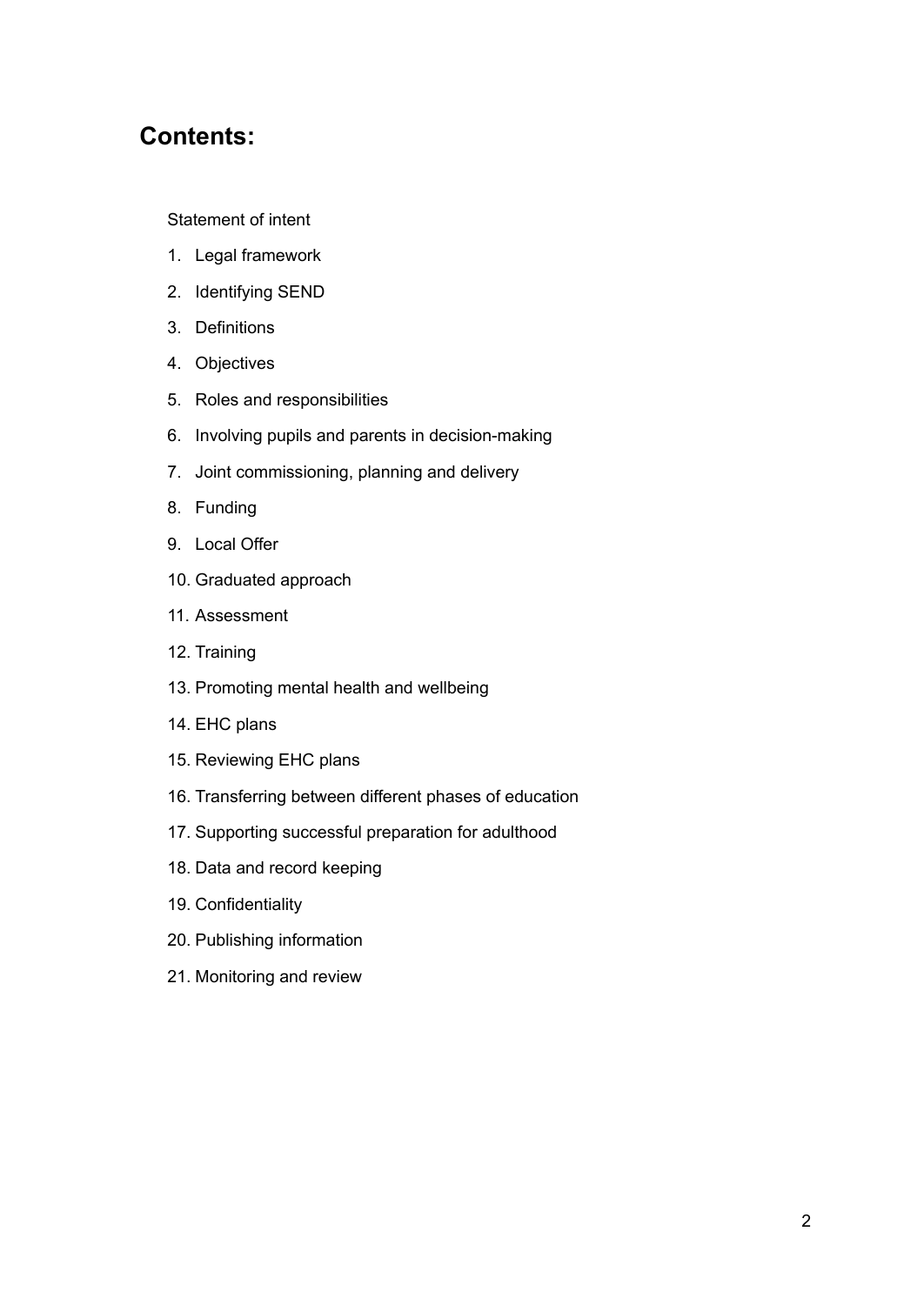## **Contents:**

#### [Statement](#page-2-0) of intent

- 1. Legal [framework](#page-4-0)
- 2. [Identifying](#page-4-1) SEND
- 3. [Definitions](#page-5-0)
- 4. [Objectives](#page-6-0)
- 5. Roles and [responsibilities](#page-6-1)
- 6. Involving pupils and parents in [decision-making](#page-9-0)
- 7. Joint [commissioning,](#page-10-0) planning and delivery
- 8. [Funding](#page-10-1)
- 9. [Local](#page-10-2) Offer
- 10. [Graduated](#page-11-0) approach
- 11. [Assessment](#page-11-1)
- 12. [Training](#page-12-0)
- 13. [Promoting](#page-13-0) mental health and wellbeing
- 14. EHC [plans](#page-13-1)
- 15. [Reviewing](#page-15-0) EHC plans
- 16. [Transferring](#page-15-1) between different phases of education
- 17. Supporting successful preparation for adulthood
- 18. Data and record [keeping](#page-16-0)
- 19. [Confidentiality](#page-17-0)
- 20. Publishing information
- <span id="page-2-0"></span>21. [Monitoring](#page-17-1) and review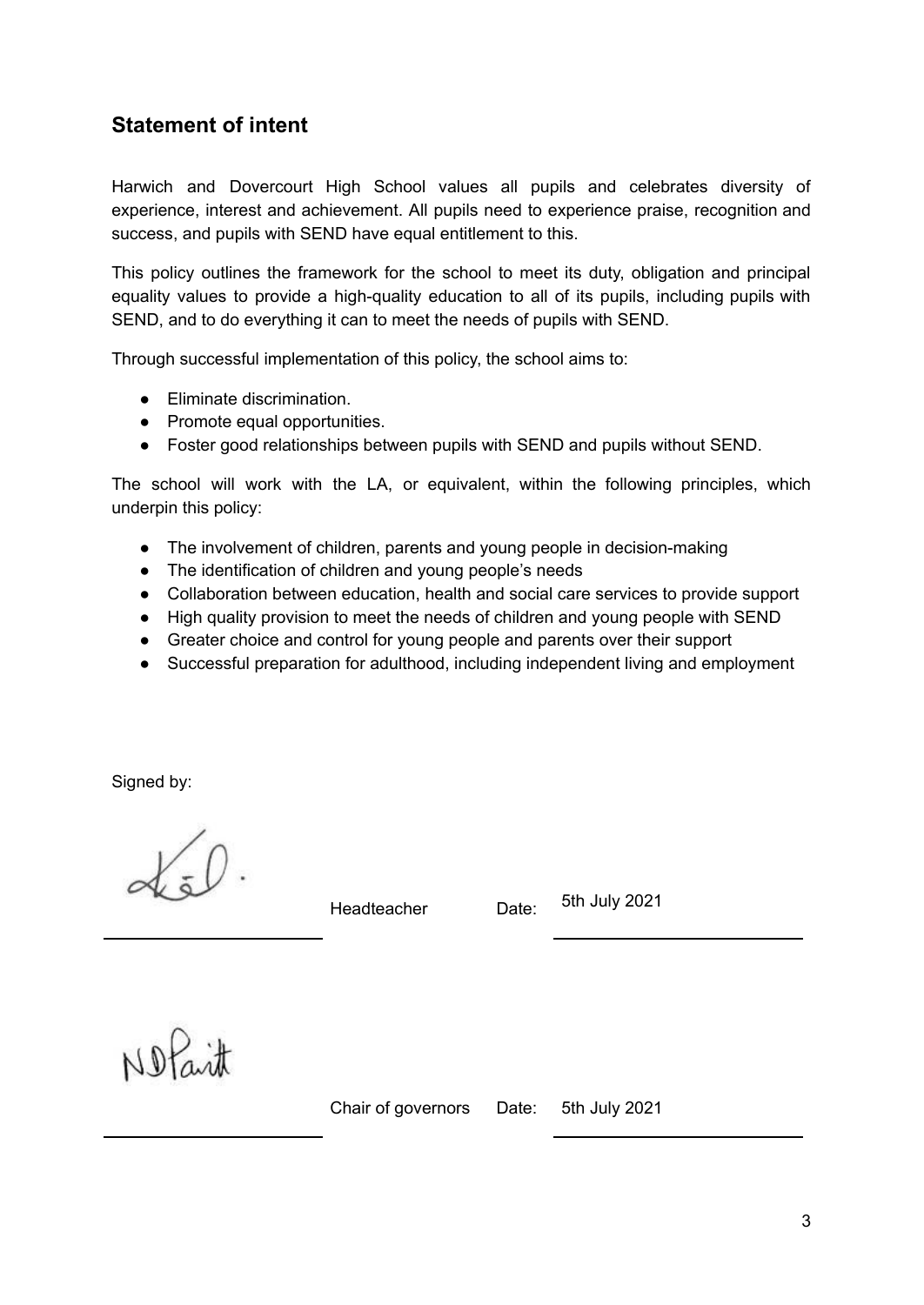## **Statement of intent**

Harwich and Dovercourt High School values all pupils and celebrates diversity of experience, interest and achievement. All pupils need to experience praise, recognition and success, and pupils with SEND have equal entitlement to this.

This policy outlines the framework for the school to meet its duty, obligation and principal equality values to provide a high-quality education to all of its pupils, including pupils with SEND, and to do everything it can to meet the needs of pupils with SEND.

Through successful implementation of this policy, the school aims to:

- Eliminate discrimination.
- Promote equal opportunities.
- Foster good relationships between pupils with SEND and pupils without SEND.

The school will work with the LA, or equivalent, within the following principles, which underpin this policy:

- The involvement of children, parents and young people in decision-making
- The identification of children and young people's needs
- Collaboration between education, health and social care services to provide support
- High quality provision to meet the needs of children and young people with SEND
- Greater choice and control for young people and parents over their support
- Successful preparation for adulthood, including independent living and employment

Signed by:

Headteacher Date:

5th July 2021

Notait

Chair of governors Date: 5th July 2021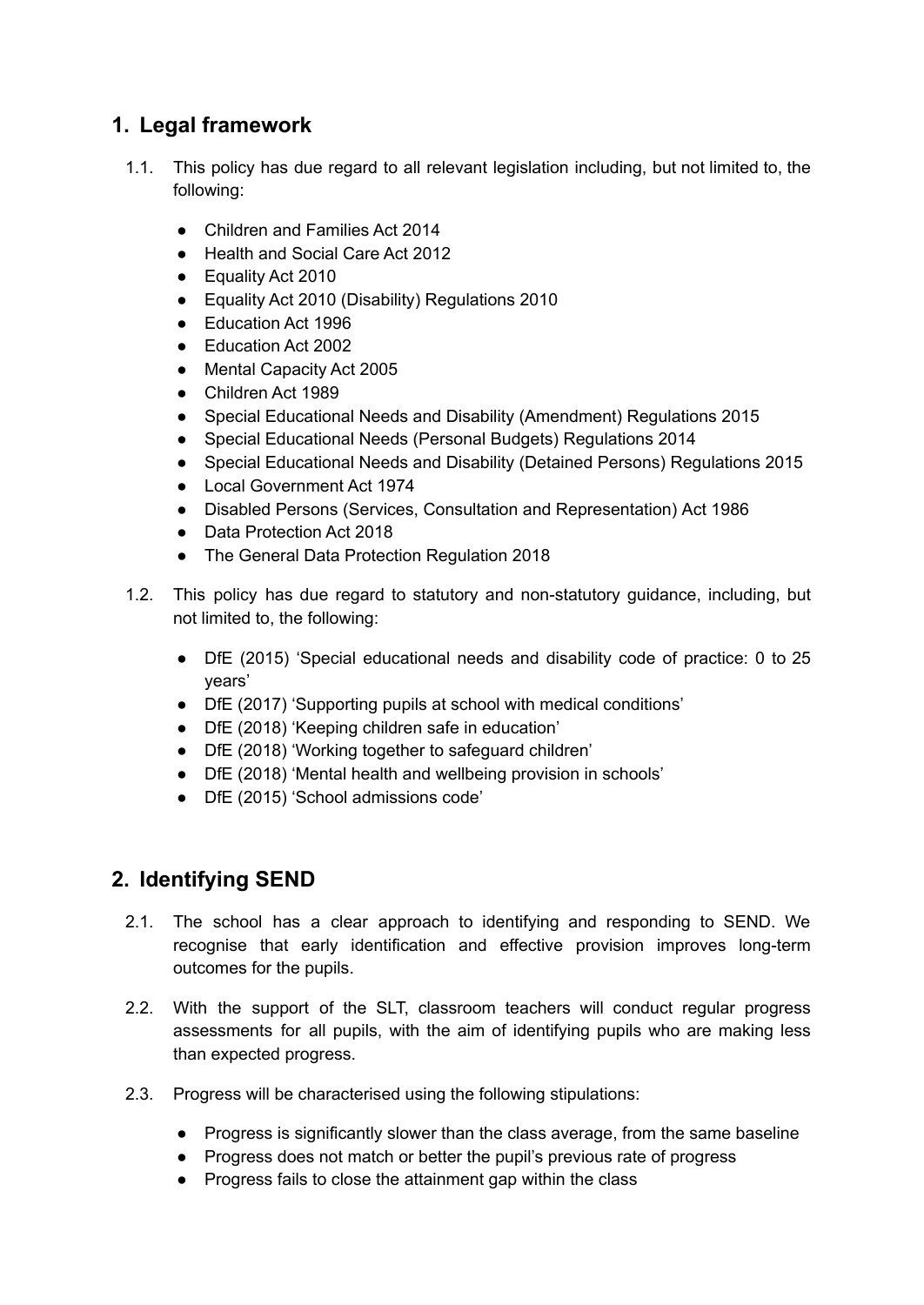## <span id="page-4-0"></span>**1. Legal framework**

- 1.1. This policy has due regard to all relevant legislation including, but not limited to, the following:
	- Children and Families Act 2014
	- Health and Social Care Act 2012
	- Equality Act 2010
	- Equality Act 2010 (Disability) Regulations 2010
	- Education Act 1996
	- Education Act 2002
	- Mental Capacity Act 2005
	- Children Act 1989
	- Special Educational Needs and Disability (Amendment) Regulations 2015
	- Special Educational Needs (Personal Budgets) Regulations 2014
	- Special Educational Needs and Disability (Detained Persons) Regulations 2015
	- Local Government Act 1974
	- Disabled Persons (Services, Consultation and Representation) Act 1986
	- Data Protection Act 2018
	- The General Data Protection Regulation 2018
- 1.2. This policy has due regard to statutory and non-statutory guidance, including, but not limited to, the following:
	- DfE (2015) 'Special educational needs and disability code of practice: 0 to 25 years'
	- DfE (2017) 'Supporting pupils at school with medical conditions'
	- DfE (2018) 'Keeping children safe in education'
	- DfE (2018) 'Working together to safeguard children'
	- DfE (2018) 'Mental health and wellbeing provision in schools'
	- DfE (2015) 'School admissions code'

## <span id="page-4-1"></span>**2. Identifying SEND**

- 2.1. The school has a clear approach to identifying and responding to SEND. We recognise that early identification and effective provision improves long-term outcomes for the pupils.
- 2.2. With the support of the SLT, classroom teachers will conduct regular progress assessments for all pupils, with the aim of identifying pupils who are making less than expected progress.
- 2.3. Progress will be characterised using the following stipulations:
	- Progress is significantly slower than the class average, from the same baseline
	- Progress does not match or better the pupil's previous rate of progress
	- Progress fails to close the attainment gap within the class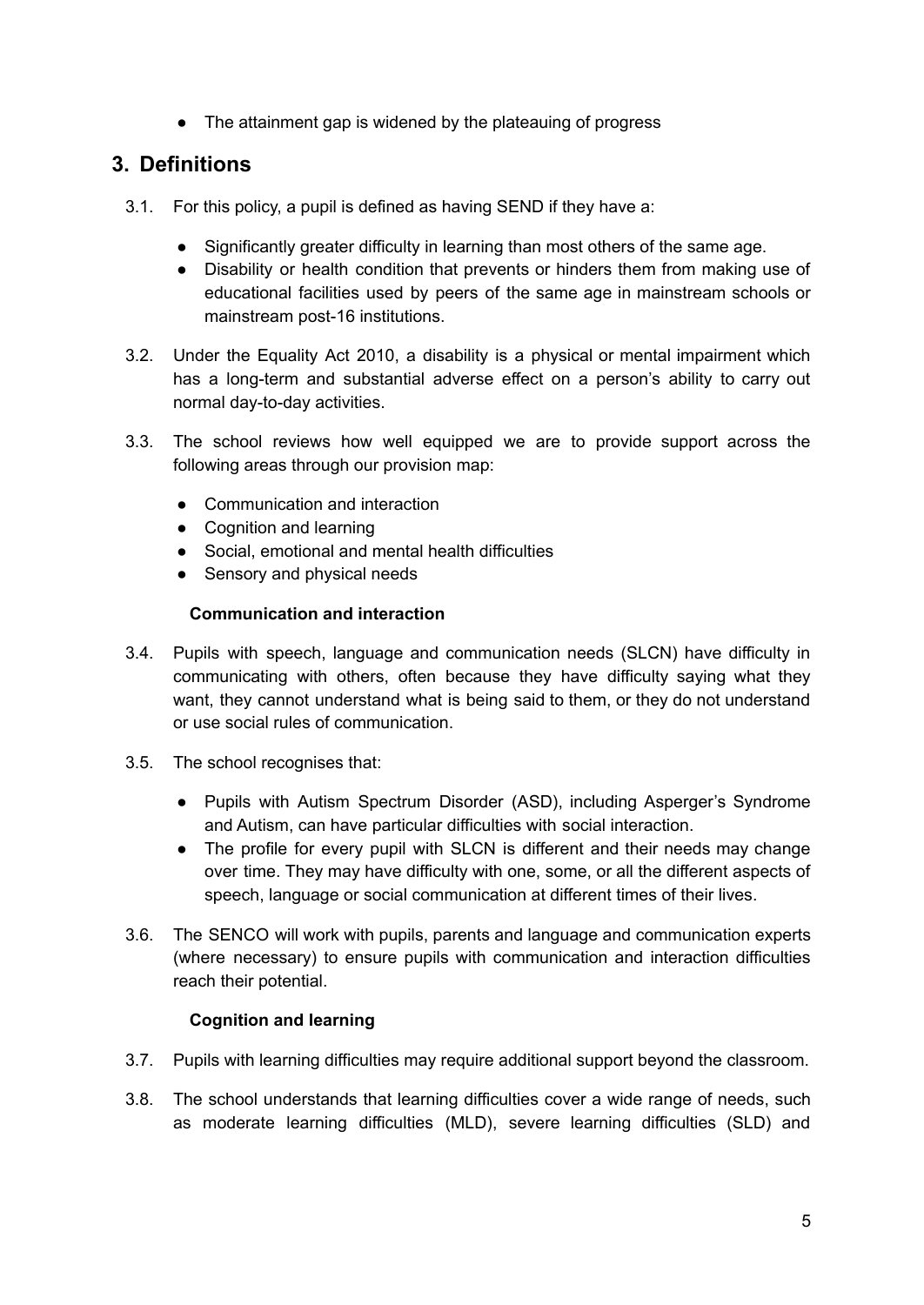• The attainment gap is widened by the plateauing of progress

## <span id="page-5-0"></span>**3. Definitions**

- 3.1. For this policy, a pupil is defined as having SEND if they have a:
	- Significantly greater difficulty in learning than most others of the same age.
	- Disability or health condition that prevents or hinders them from making use of educational facilities used by peers of the same age in mainstream schools or mainstream post-16 institutions.
- 3.2. Under the Equality Act 2010, a disability is a physical or mental impairment which has a long-term and substantial adverse effect on a person's ability to carry out normal day-to-day activities.
- 3.3. The school reviews how well equipped we are to provide support across the following areas through our provision map:
	- Communication and interaction
	- Cognition and learning
	- Social, emotional and mental health difficulties
	- Sensory and physical needs

#### **Communication and interaction**

- 3.4. Pupils with speech, language and communication needs (SLCN) have difficulty in communicating with others, often because they have difficulty saying what they want, they cannot understand what is being said to them, or they do not understand or use social rules of communication.
- 3.5. The school recognises that:
	- Pupils with Autism Spectrum Disorder (ASD), including Asperger's Syndrome and Autism, can have particular difficulties with social interaction.
	- The profile for every pupil with SLCN is different and their needs may change over time. They may have difficulty with one, some, or all the different aspects of speech, language or social communication at different times of their lives.
- 3.6. The SENCO will work with pupils, parents and language and communication experts (where necessary) to ensure pupils with communication and interaction difficulties reach their potential.

#### **Cognition and learning**

- 3.7. Pupils with learning difficulties may require additional support beyond the classroom.
- 3.8. The school understands that learning difficulties cover a wide range of needs, such as moderate learning difficulties (MLD), severe learning difficulties (SLD) and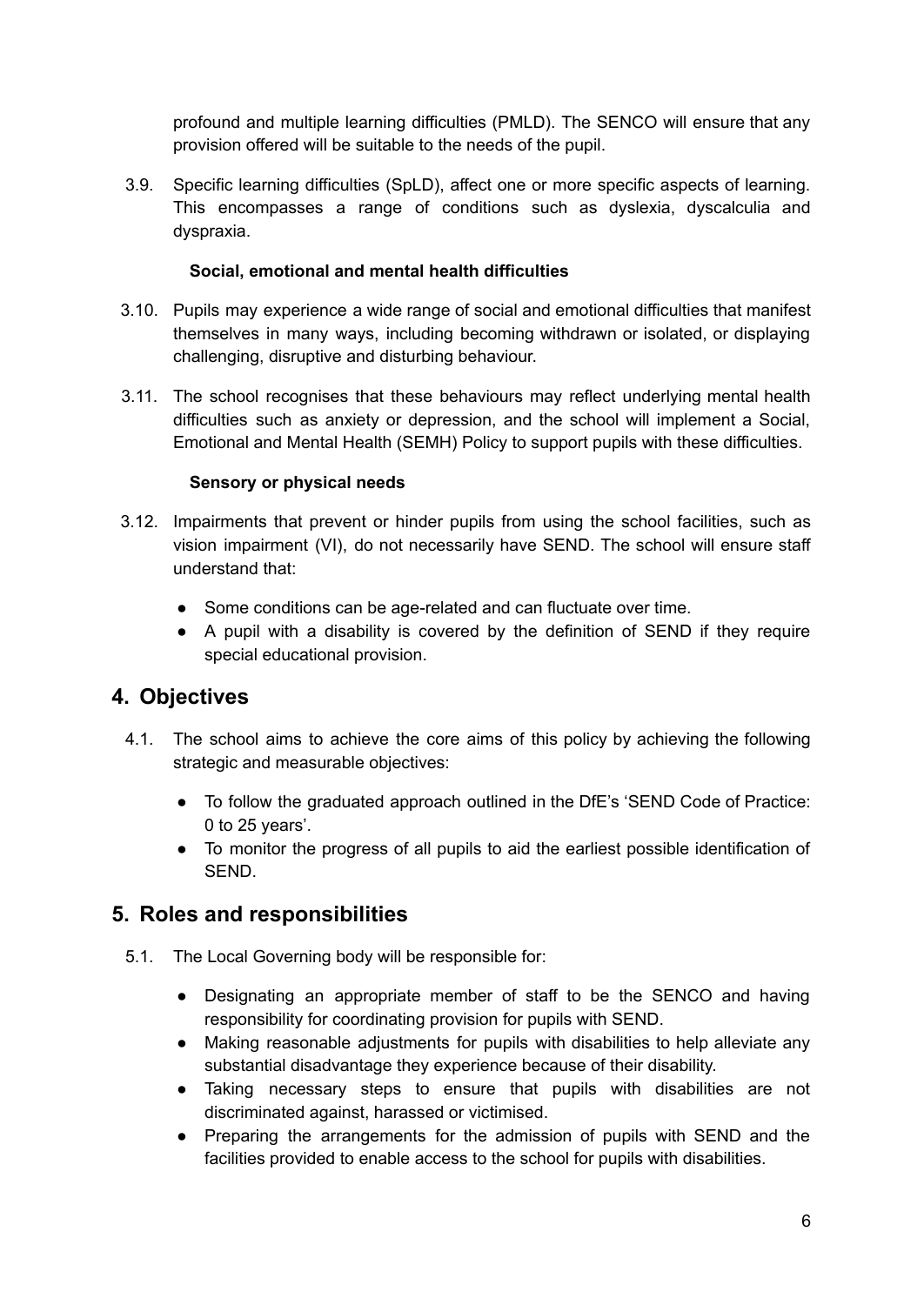profound and multiple learning difficulties (PMLD). The SENCO will ensure that any provision offered will be suitable to the needs of the pupil.

3.9. Specific learning difficulties (SpLD), affect one or more specific aspects of learning. This encompasses a range of conditions such as dyslexia, dyscalculia and dyspraxia.

#### **Social, emotional and mental health difficulties**

- 3.10. Pupils may experience a wide range of social and emotional difficulties that manifest themselves in many ways, including becoming withdrawn or isolated, or displaying challenging, disruptive and disturbing behaviour.
- 3.11. The school recognises that these behaviours may reflect underlying mental health difficulties such as anxiety or depression, and the school will implement a Social, Emotional and Mental Health (SEMH) Policy to support pupils with these difficulties.

#### **Sensory or physical needs**

- 3.12. Impairments that prevent or hinder pupils from using the school facilities, such as vision impairment (VI), do not necessarily have SEND. The school will ensure staff understand that:
	- Some conditions can be age-related and can fluctuate over time.
	- A pupil with a disability is covered by the definition of SEND if they require special educational provision.

## <span id="page-6-0"></span>**4. Objectives**

- 4.1. The school aims to achieve the core aims of this policy by achieving the following strategic and measurable objectives:
	- To follow the graduated approach outlined in the DfE's 'SEND Code of Practice: 0 to 25 years'.
	- To monitor the progress of all pupils to aid the earliest possible identification of SEND.

#### <span id="page-6-1"></span>**5. Roles and responsibilities**

- 5.1. The Local Governing body will be responsible for:
	- Designating an appropriate member of staff to be the SENCO and having responsibility for coordinating provision for pupils with SEND.
	- Making reasonable adjustments for pupils with disabilities to help alleviate any substantial disadvantage they experience because of their disability.
	- Taking necessary steps to ensure that pupils with disabilities are not discriminated against, harassed or victimised.
	- Preparing the arrangements for the admission of pupils with SEND and the facilities provided to enable access to the school for pupils with disabilities.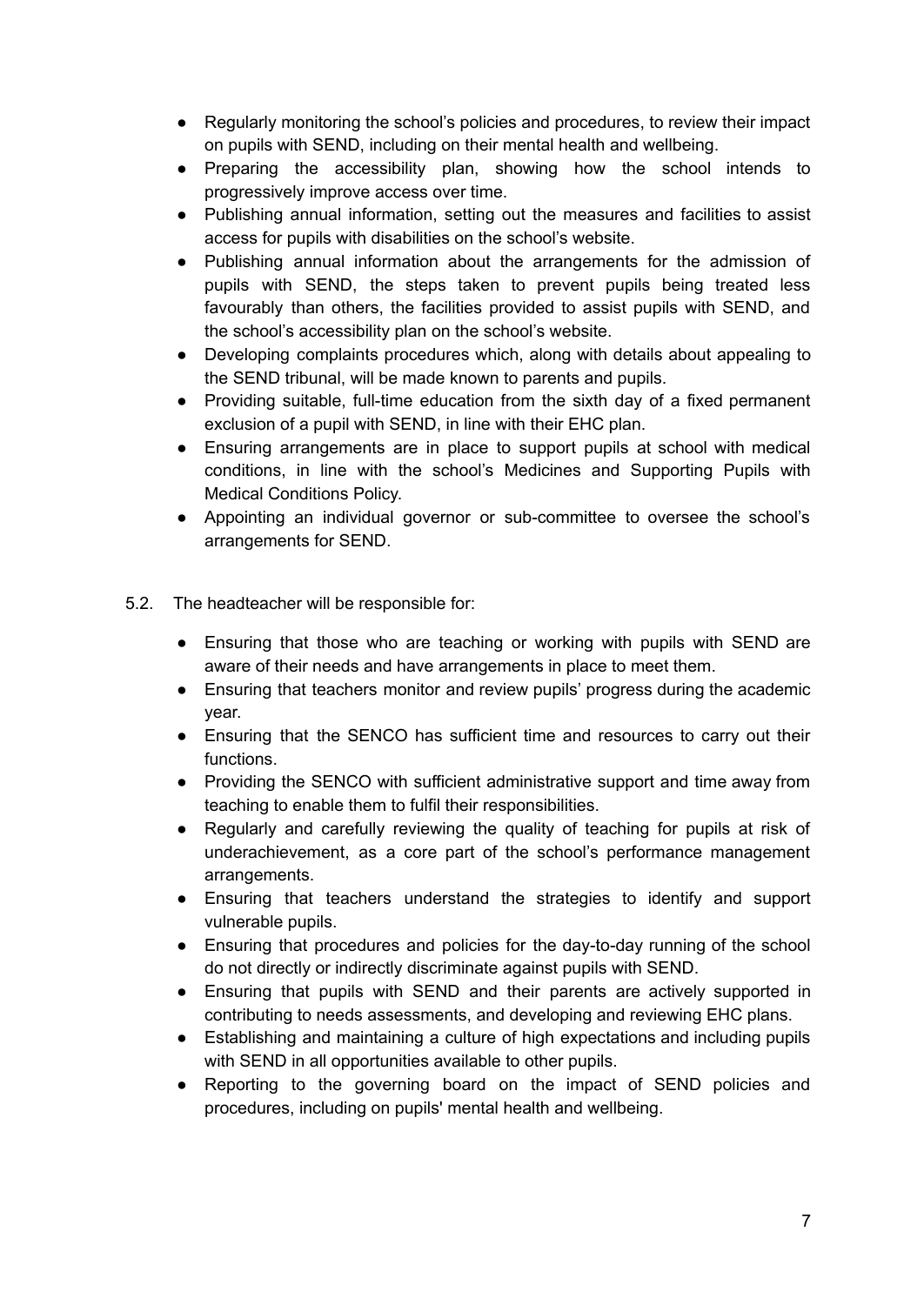- Regularly monitoring the school's policies and procedures, to review their impact on pupils with SEND, including on their mental health and wellbeing.
- Preparing the accessibility plan, showing how the school intends to progressively improve access over time.
- Publishing annual information, setting out the measures and facilities to assist access for pupils with disabilities on the school's website.
- Publishing annual information about the arrangements for the admission of pupils with SEND, the steps taken to prevent pupils being treated less favourably than others, the facilities provided to assist pupils with SEND, and the school's accessibility plan on the school's website.
- Developing complaints procedures which, along with details about appealing to the SEND tribunal, will be made known to parents and pupils.
- Providing suitable, full-time education from the sixth day of a fixed permanent exclusion of a pupil with SEND, in line with their EHC plan.
- Ensuring arrangements are in place to support pupils at school with medical conditions, in line with the school's Medicines and Supporting Pupils with Medical Conditions Policy.
- Appointing an individual governor or sub-committee to oversee the school's arrangements for SEND.
- 5.2. The headteacher will be responsible for:
	- Ensuring that those who are teaching or working with pupils with SEND are aware of their needs and have arrangements in place to meet them.
	- Ensuring that teachers monitor and review pupils' progress during the academic year.
	- Ensuring that the SENCO has sufficient time and resources to carry out their functions.
	- Providing the SENCO with sufficient administrative support and time away from teaching to enable them to fulfil their responsibilities.
	- Regularly and carefully reviewing the quality of teaching for pupils at risk of underachievement, as a core part of the school's performance management arrangements.
	- Ensuring that teachers understand the strategies to identify and support vulnerable pupils.
	- Ensuring that procedures and policies for the day-to-day running of the school do not directly or indirectly discriminate against pupils with SEND.
	- Ensuring that pupils with SEND and their parents are actively supported in contributing to needs assessments, and developing and reviewing EHC plans.
	- Establishing and maintaining a culture of high expectations and including pupils with SEND in all opportunities available to other pupils.
	- Reporting to the governing board on the impact of SEND policies and procedures, including on pupils' mental health and wellbeing.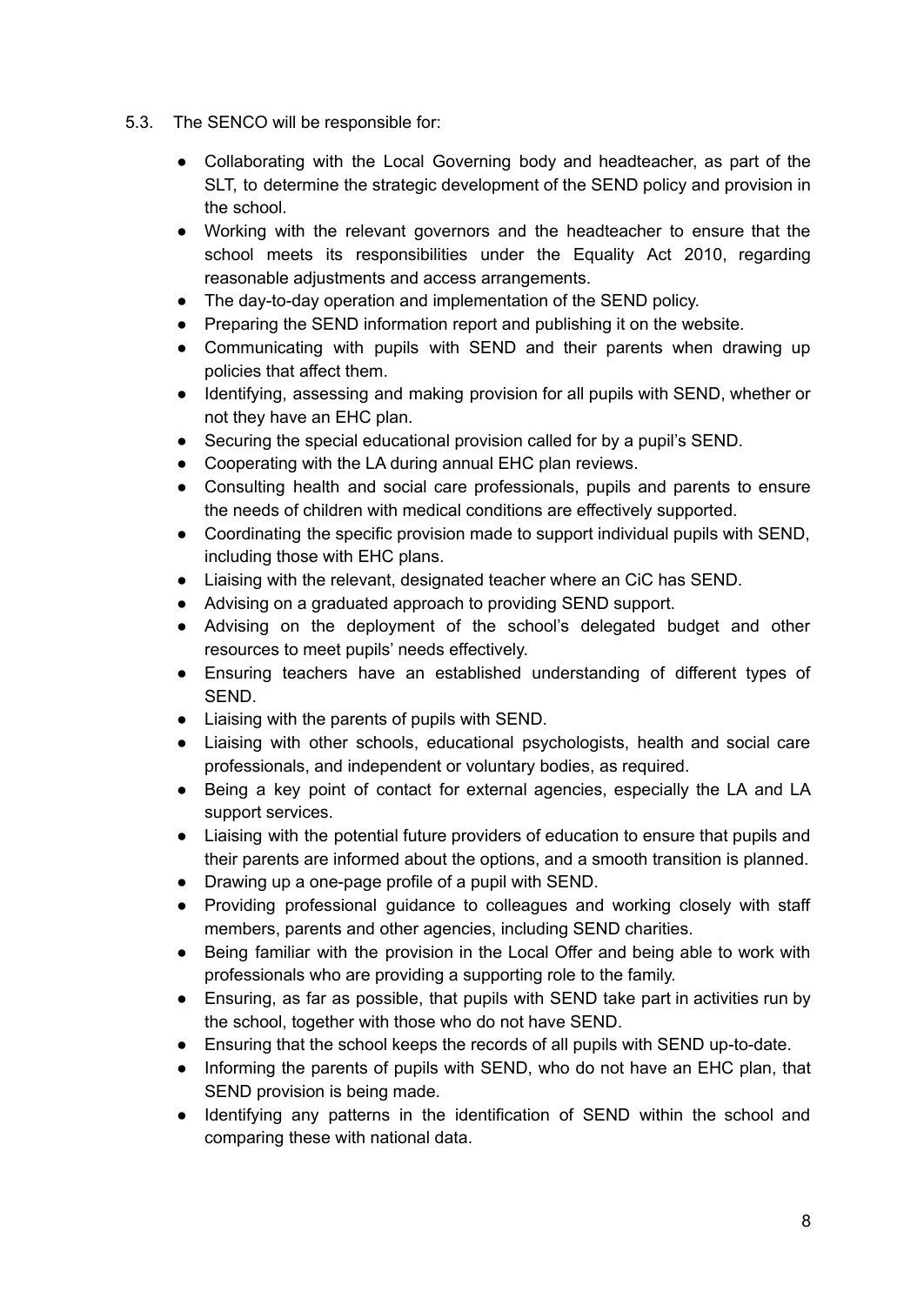- 5.3. The SENCO will be responsible for:
	- Collaborating with the Local Governing body and headteacher, as part of the SLT, to determine the strategic development of the SEND policy and provision in the school.
	- Working with the relevant governors and the headteacher to ensure that the school meets its responsibilities under the Equality Act 2010, regarding reasonable adjustments and access arrangements.
	- The day-to-day operation and implementation of the SEND policy.
	- Preparing the SEND information report and publishing it on the website.
	- Communicating with pupils with SEND and their parents when drawing up policies that affect them.
	- Identifying, assessing and making provision for all pupils with SEND, whether or not they have an EHC plan.
	- Securing the special educational provision called for by a pupil's SEND.
	- Cooperating with the LA during annual EHC plan reviews.
	- Consulting health and social care professionals, pupils and parents to ensure the needs of children with medical conditions are effectively supported.
	- Coordinating the specific provision made to support individual pupils with SEND, including those with EHC plans.
	- Liaising with the relevant, designated teacher where an CiC has SEND.
	- Advising on a graduated approach to providing SEND support.
	- Advising on the deployment of the school's delegated budget and other resources to meet pupils' needs effectively.
	- Ensuring teachers have an established understanding of different types of SEND.
	- Liaising with the parents of pupils with SEND.
	- Liaising with other schools, educational psychologists, health and social care professionals, and independent or voluntary bodies, as required.
	- Being a key point of contact for external agencies, especially the LA and LA support services.
	- Liaising with the potential future providers of education to ensure that pupils and their parents are informed about the options, and a smooth transition is planned.
	- Drawing up a one-page profile of a pupil with SEND.
	- Providing professional guidance to colleagues and working closely with staff members, parents and other agencies, including SEND charities.
	- Being familiar with the provision in the Local Offer and being able to work with professionals who are providing a supporting role to the family.
	- Ensuring, as far as possible, that pupils with SEND take part in activities run by the school, together with those who do not have SEND.
	- Ensuring that the school keeps the records of all pupils with SEND up-to-date.
	- Informing the parents of pupils with SEND, who do not have an EHC plan, that SEND provision is being made.
	- Identifying any patterns in the identification of SEND within the school and comparing these with national data.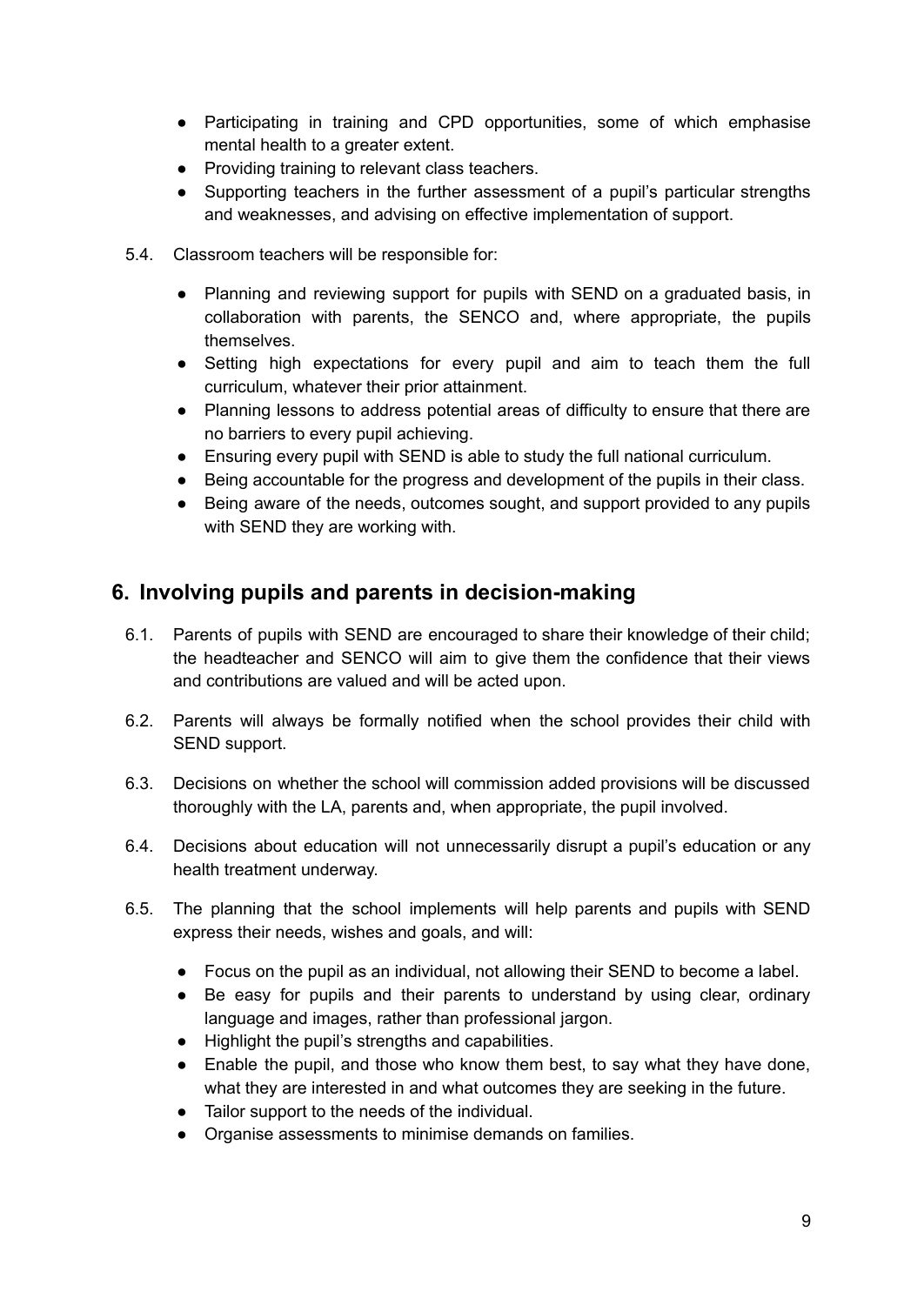- Participating in training and CPD opportunities, some of which emphasise mental health to a greater extent.
- Providing training to relevant class teachers.
- Supporting teachers in the further assessment of a pupil's particular strengths and weaknesses, and advising on effective implementation of support.
- 5.4. Classroom teachers will be responsible for:
	- Planning and reviewing support for pupils with SEND on a graduated basis, in collaboration with parents, the SENCO and, where appropriate, the pupils themselves.
	- Setting high expectations for every pupil and aim to teach them the full curriculum, whatever their prior attainment.
	- Planning lessons to address potential areas of difficulty to ensure that there are no barriers to every pupil achieving.
	- Ensuring every pupil with SEND is able to study the full national curriculum.
	- Being accountable for the progress and development of the pupils in their class.
	- Being aware of the needs, outcomes sought, and support provided to any pupils with SEND they are working with.

## <span id="page-9-0"></span>**6. Involving pupils and parents in decision-making**

- 6.1. Parents of pupils with SEND are encouraged to share their knowledge of their child; the headteacher and SENCO will aim to give them the confidence that their views and contributions are valued and will be acted upon.
- 6.2. Parents will always be formally notified when the school provides their child with SEND support.
- 6.3. Decisions on whether the school will commission added provisions will be discussed thoroughly with the LA, parents and, when appropriate, the pupil involved.
- 6.4. Decisions about education will not unnecessarily disrupt a pupil's education or any health treatment underway.
- 6.5. The planning that the school implements will help parents and pupils with SEND express their needs, wishes and goals, and will:
	- Focus on the pupil as an individual, not allowing their SEND to become a label.
	- Be easy for pupils and their parents to understand by using clear, ordinary language and images, rather than professional jargon.
	- Highlight the pupil's strengths and capabilities.
	- Enable the pupil, and those who know them best, to say what they have done, what they are interested in and what outcomes they are seeking in the future.
	- Tailor support to the needs of the individual.
	- Organise assessments to minimise demands on families.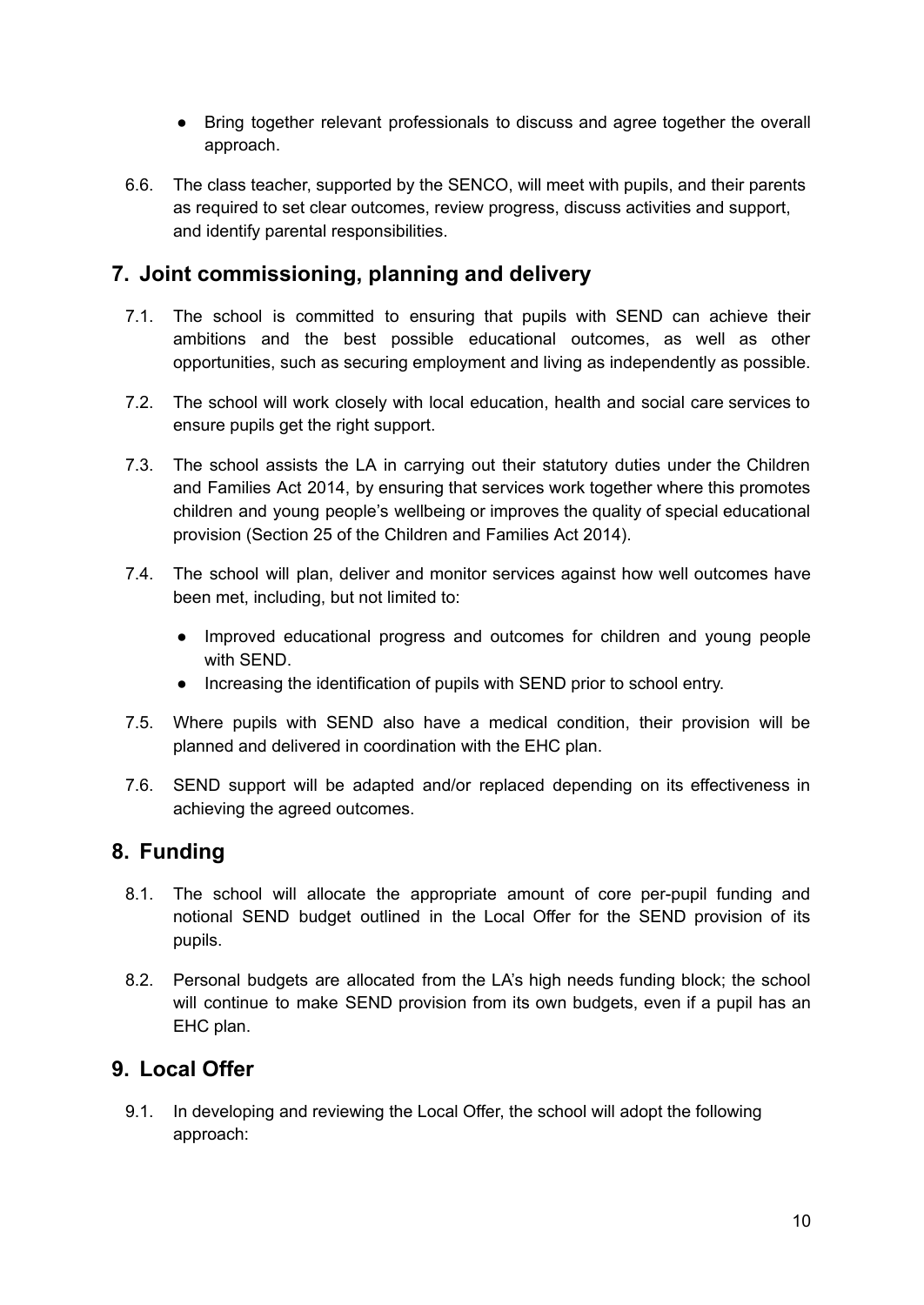- Bring together relevant professionals to discuss and agree together the overall approach.
- 6.6. The class teacher, supported by the SENCO, will meet with pupils, and their parents as required to set clear outcomes, review progress, discuss activities and support, and identify parental responsibilities.

## <span id="page-10-0"></span>**7. Joint commissioning, planning and delivery**

- 7.1. The school is committed to ensuring that pupils with SEND can achieve their ambitions and the best possible educational outcomes, as well as other opportunities, such as securing employment and living as independently as possible.
- 7.2. The school will work closely with local education, health and social care services to ensure pupils get the right support.
- 7.3. The school assists the LA in carrying out their statutory duties under the Children and Families Act 2014, by ensuring that services work together where this promotes children and young people's wellbeing or improves the quality of special educational provision (Section 25 of the Children and Families Act 2014).
- 7.4. The school will plan, deliver and monitor services against how well outcomes have been met, including, but not limited to:
	- Improved educational progress and outcomes for children and young people with SEND.
	- Increasing the identification of pupils with SEND prior to school entry.
- 7.5. Where pupils with SEND also have a medical condition, their provision will be planned and delivered in coordination with the EHC plan.
- 7.6. SEND support will be adapted and/or replaced depending on its effectiveness in achieving the agreed outcomes.

## <span id="page-10-1"></span>**8. Funding**

- 8.1. The school will allocate the appropriate amount of core per-pupil funding and notional SEND budget outlined in the Local Offer for the SEND provision of its pupils.
- 8.2. Personal budgets are allocated from the LA's high needs funding block; the school will continue to make SEND provision from its own budgets, even if a pupil has an EHC plan.

## <span id="page-10-2"></span>**9. Local Offer**

9.1. In developing and reviewing the Local Offer, the school will adopt the following approach: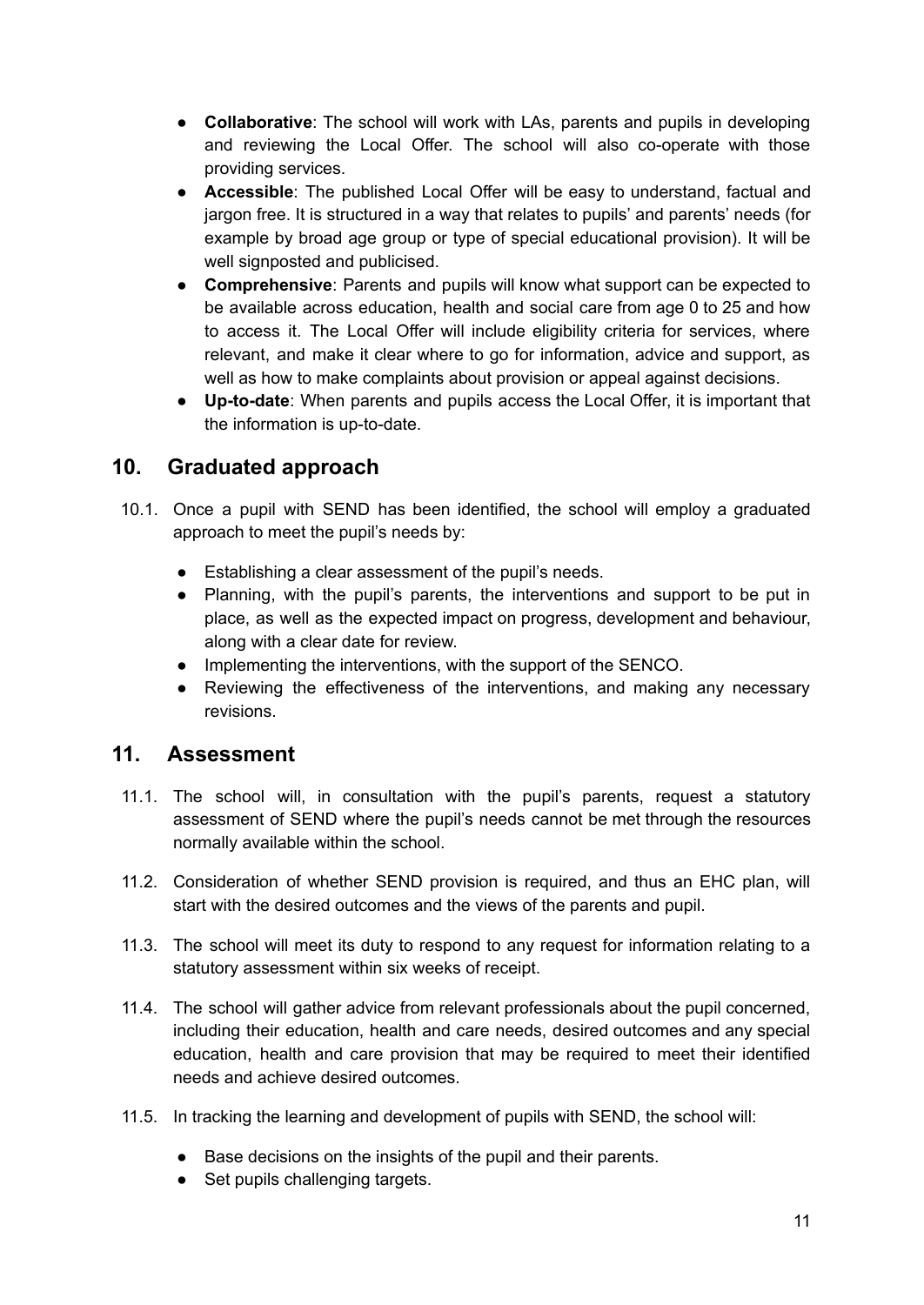- **Collaborative**: The school will work with LAs, parents and pupils in developing and reviewing the Local Offer. The school will also co-operate with those providing services.
- **Accessible**: The published Local Offer will be easy to understand, factual and jargon free. It is structured in a way that relates to pupils' and parents' needs (for example by broad age group or type of special educational provision). It will be well signposted and publicised.
- **Comprehensive**: Parents and pupils will know what support can be expected to be available across education, health and social care from age 0 to 25 and how to access it. The Local Offer will include eligibility criteria for services, where relevant, and make it clear where to go for information, advice and support, as well as how to make complaints about provision or appeal against decisions.
- **Up-to-date**: When parents and pupils access the Local Offer, it is important that the information is up-to-date.

## <span id="page-11-0"></span>**10. Graduated approach**

- 10.1. Once a pupil with SEND has been identified, the school will employ a graduated approach to meet the pupil's needs by:
	- Establishing a clear assessment of the pupil's needs.
	- Planning, with the pupil's parents, the interventions and support to be put in place, as well as the expected impact on progress, development and behaviour, along with a clear date for review.
	- Implementing the interventions, with the support of the SENCO.
	- Reviewing the effectiveness of the interventions, and making any necessary revisions.

#### <span id="page-11-1"></span>**11. Assessment**

- 11.1. The school will, in consultation with the pupil's parents, request a statutory assessment of SEND where the pupil's needs cannot be met through the resources normally available within the school.
- 11.2. Consideration of whether SEND provision is required, and thus an EHC plan, will start with the desired outcomes and the views of the parents and pupil.
- 11.3. The school will meet its duty to respond to any request for information relating to a statutory assessment within six weeks of receipt.
- 11.4. The school will gather advice from relevant professionals about the pupil concerned, including their education, health and care needs, desired outcomes and any special education, health and care provision that may be required to meet their identified needs and achieve desired outcomes.
- 11.5. In tracking the learning and development of pupils with SEND, the school will:
	- Base decisions on the insights of the pupil and their parents.
	- Set pupils challenging targets.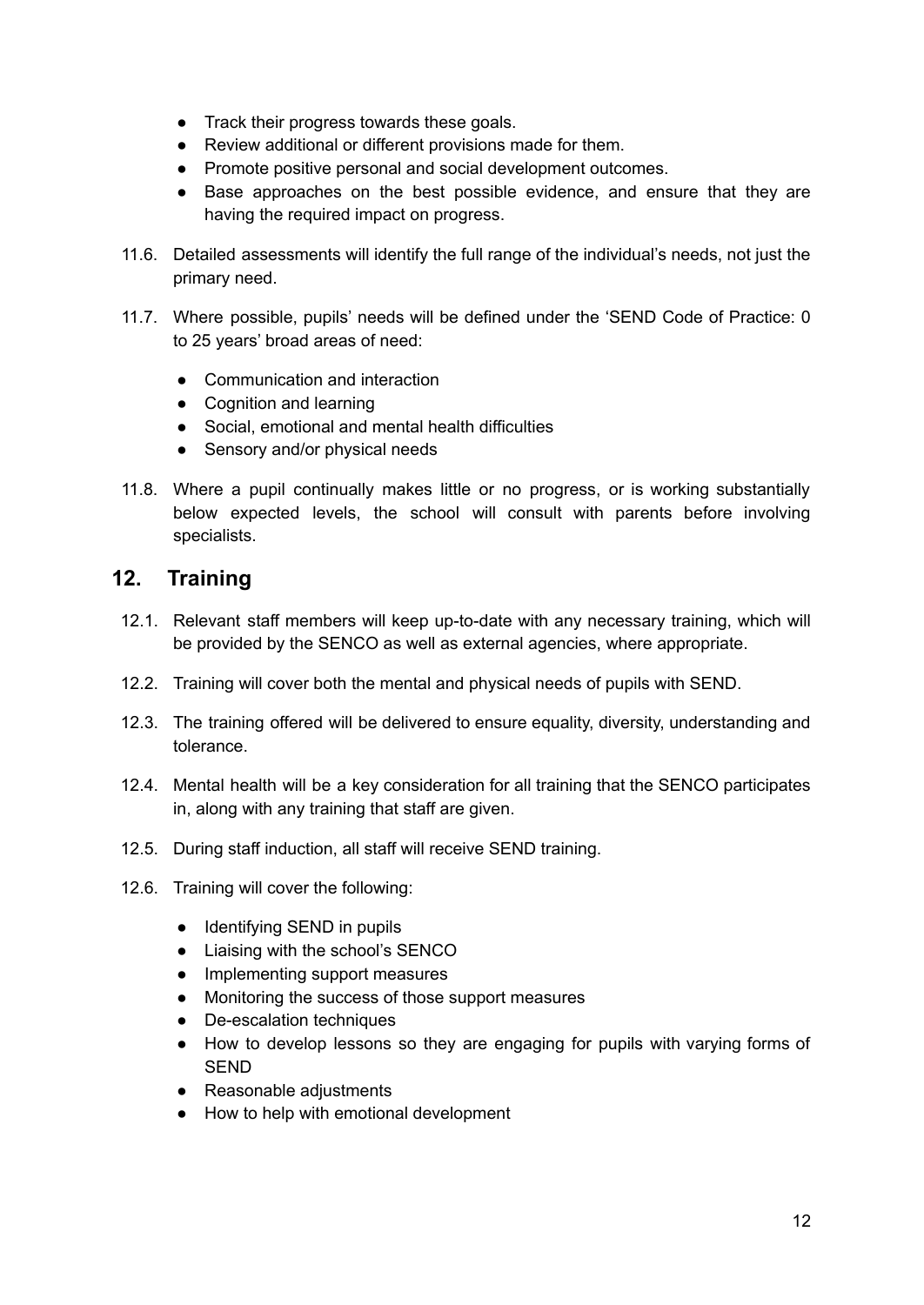- Track their progress towards these goals.
- Review additional or different provisions made for them.
- Promote positive personal and social development outcomes.
- Base approaches on the best possible evidence, and ensure that they are having the required impact on progress.
- 11.6. Detailed assessments will identify the full range of the individual's needs, not just the primary need.
- 11.7. Where possible, pupils' needs will be defined under the 'SEND Code of Practice: 0 to 25 years' broad areas of need:
	- Communication and interaction
	- Cognition and learning
	- Social, emotional and mental health difficulties
	- Sensory and/or physical needs
- 11.8. Where a pupil continually makes little or no progress, or is working substantially below expected levels, the school will consult with parents before involving specialists.

#### <span id="page-12-0"></span>**12. Training**

- 12.1. Relevant staff members will keep up-to-date with any necessary training, which will be provided by the SENCO as well as external agencies, where appropriate.
- 12.2. Training will cover both the mental and physical needs of pupils with SEND.
- 12.3. The training offered will be delivered to ensure equality, diversity, understanding and tolerance.
- 12.4. Mental health will be a key consideration for all training that the SENCO participates in, along with any training that staff are given.
- 12.5. During staff induction, all staff will receive SEND training.
- 12.6. Training will cover the following:
	- Identifying SEND in pupils
	- Liaising with the school's SENCO
	- Implementing support measures
	- Monitoring the success of those support measures
	- De-escalation techniques
	- How to develop lessons so they are engaging for pupils with varying forms of **SEND**
	- Reasonable adiustments
	- How to help with emotional development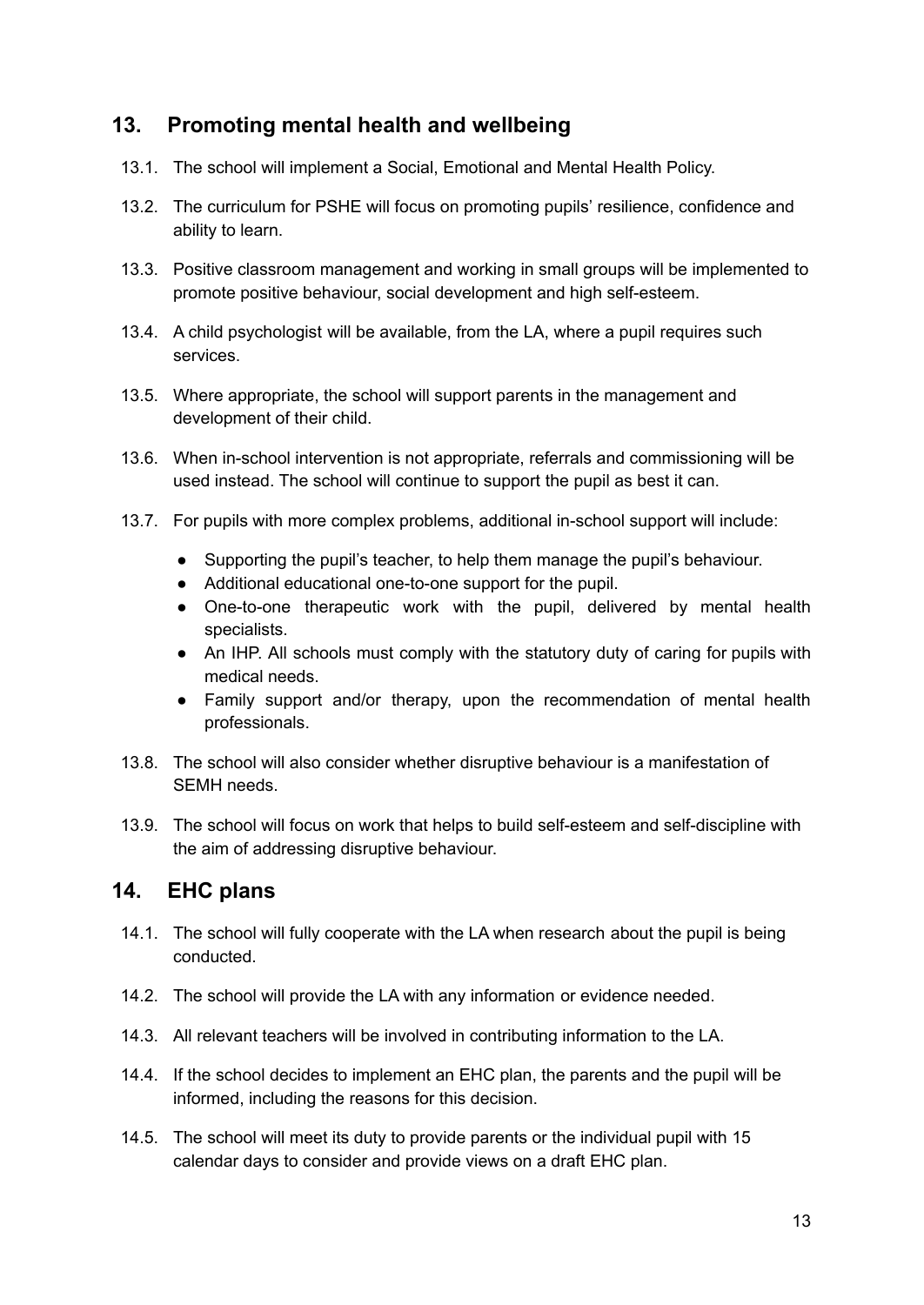## <span id="page-13-0"></span>**13. Promoting mental health and wellbeing**

- 13.1. The school will implement a Social, Emotional and Mental Health Policy.
- 13.2. The curriculum for PSHE will focus on promoting pupils' resilience, confidence and ability to learn.
- 13.3. Positive classroom management and working in small groups will be implemented to promote positive behaviour, social development and high self-esteem.
- 13.4. A child psychologist will be available, from the LA, where a pupil requires such services.
- 13.5. Where appropriate, the school will support parents in the management and development of their child.
- 13.6. When in-school intervention is not appropriate, referrals and commissioning will be used instead. The school will continue to support the pupil as best it can.
- 13.7. For pupils with more complex problems, additional in-school support will include:
	- Supporting the pupil's teacher, to help them manage the pupil's behaviour.
	- Additional educational one-to-one support for the pupil.
	- One-to-one therapeutic work with the pupil, delivered by mental health specialists.
	- An IHP. All schools must comply with the statutory duty of caring for pupils with medical needs.
	- Family support and/or therapy, upon the recommendation of mental health professionals.
- 13.8. The school will also consider whether disruptive behaviour is a manifestation of SEMH needs.
- 13.9. The school will focus on work that helps to build self-esteem and self-discipline with the aim of addressing disruptive behaviour.

#### <span id="page-13-1"></span>**14. EHC plans**

- 14.1. The school will fully cooperate with the LA when research about the pupil is being conducted.
- 14.2. The school will provide the LA with any information or evidence needed.
- 14.3. All relevant teachers will be involved in contributing information to the LA.
- 14.4. If the school decides to implement an EHC plan, the parents and the pupil will be informed, including the reasons for this decision.
- 14.5. The school will meet its duty to provide parents or the individual pupil with 15 calendar days to consider and provide views on a draft EHC plan.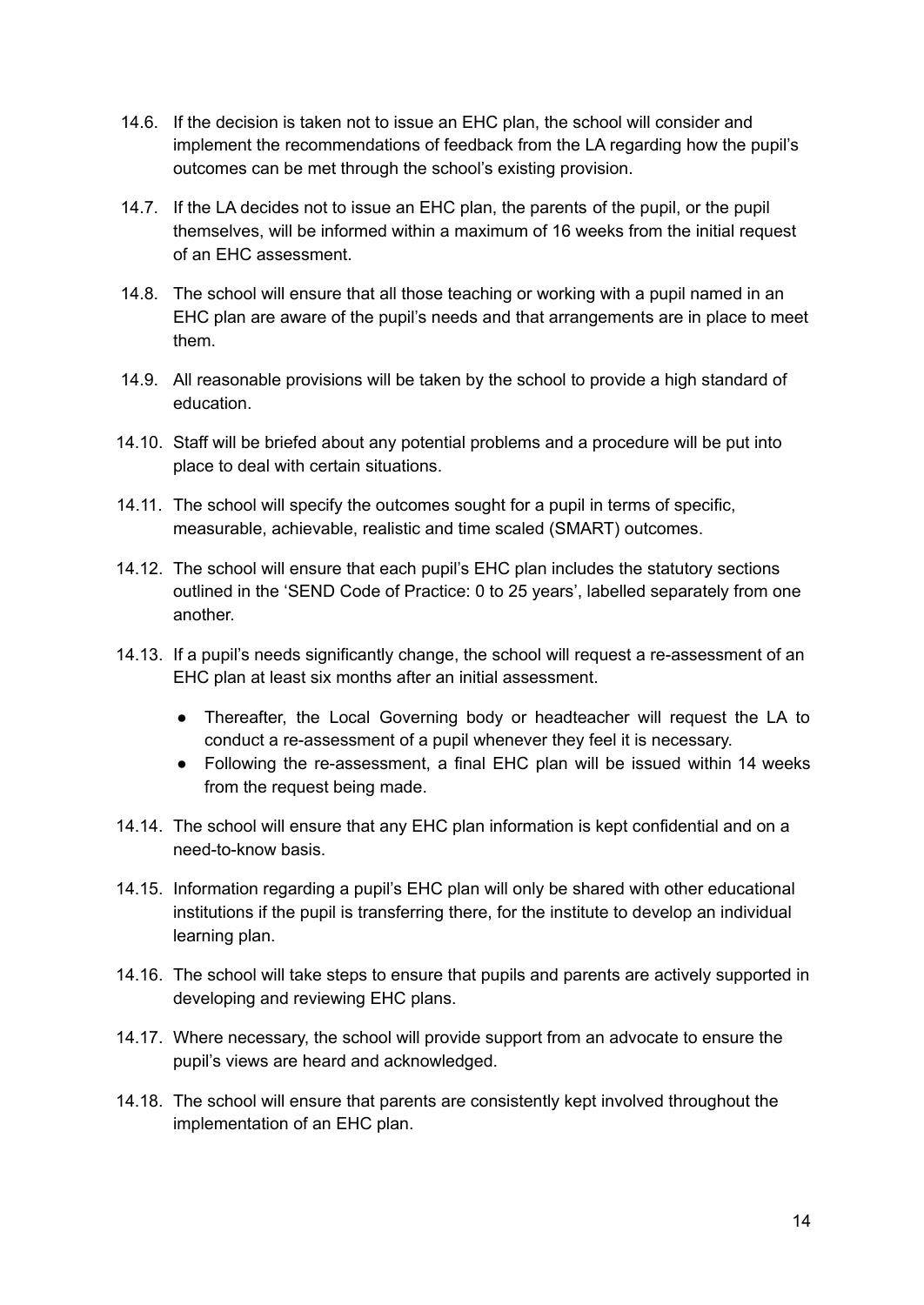- 14.6. If the decision is taken not to issue an EHC plan, the school will consider and implement the recommendations of feedback from the LA regarding how the pupil's outcomes can be met through the school's existing provision.
- 14.7. If the LA decides not to issue an EHC plan, the parents of the pupil, or the pupil themselves, will be informed within a maximum of 16 weeks from the initial request of an EHC assessment.
- 14.8. The school will ensure that all those teaching or working with a pupil named in an EHC plan are aware of the pupil's needs and that arrangements are in place to meet them.
- 14.9. All reasonable provisions will be taken by the school to provide a high standard of education.
- 14.10. Staff will be briefed about any potential problems and a procedure will be put into place to deal with certain situations.
- 14.11. The school will specify the outcomes sought for a pupil in terms of specific, measurable, achievable, realistic and time scaled (SMART) outcomes.
- 14.12. The school will ensure that each pupil's EHC plan includes the statutory sections outlined in the 'SEND Code of Practice: 0 to 25 years', labelled separately from one another.
- 14.13. If a pupil's needs significantly change, the school will request a re-assessment of an EHC plan at least six months after an initial assessment.
	- Thereafter, the Local Governing body or headteacher will request the LA to conduct a re-assessment of a pupil whenever they feel it is necessary.
	- Following the re-assessment, a final EHC plan will be issued within 14 weeks from the request being made.
- 14.14. The school will ensure that any EHC plan information is kept confidential and on a need-to-know basis.
- 14.15. Information regarding a pupil's EHC plan will only be shared with other educational institutions if the pupil is transferring there, for the institute to develop an individual learning plan.
- 14.16. The school will take steps to ensure that pupils and parents are actively supported in developing and reviewing EHC plans.
- 14.17. Where necessary, the school will provide support from an advocate to ensure the pupil's views are heard and acknowledged.
- 14.18. The school will ensure that parents are consistently kept involved throughout the implementation of an EHC plan.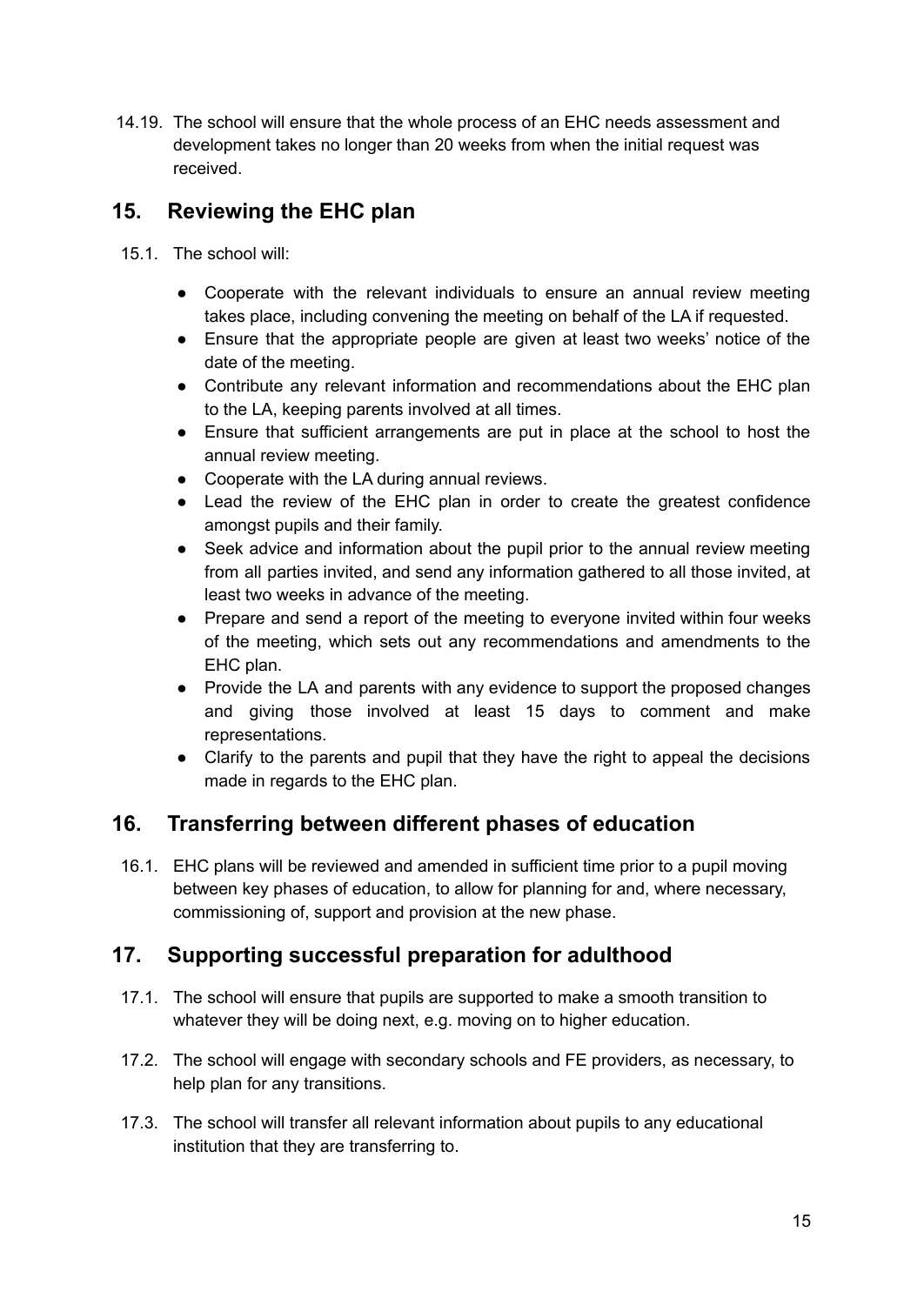14.19. The school will ensure that the whole process of an EHC needs assessment and development takes no longer than 20 weeks from when the initial request was received.

## <span id="page-15-0"></span>**15. Reviewing the EHC plan**

- 15.1. The school will:
	- Cooperate with the relevant individuals to ensure an annual review meeting takes place, including convening the meeting on behalf of the LA if requested.
	- Ensure that the appropriate people are given at least two weeks' notice of the date of the meeting.
	- Contribute any relevant information and recommendations about the EHC plan to the LA, keeping parents involved at all times.
	- Ensure that sufficient arrangements are put in place at the school to host the annual review meeting.
	- Cooperate with the LA during annual reviews.
	- Lead the review of the EHC plan in order to create the greatest confidence amongst pupils and their family.
	- Seek advice and information about the pupil prior to the annual review meeting from all parties invited, and send any information gathered to all those invited, at least two weeks in advance of the meeting.
	- Prepare and send a report of the meeting to everyone invited within four weeks of the meeting, which sets out any recommendations and amendments to the EHC plan.
	- Provide the LA and parents with any evidence to support the proposed changes and giving those involved at least 15 days to comment and make representations.
	- Clarify to the parents and pupil that they have the right to appeal the decisions made in regards to the EHC plan.

## <span id="page-15-1"></span>**16. Transferring between different phases of education**

16.1. EHC plans will be reviewed and amended in sufficient time prior to a pupil moving between key phases of education, to allow for planning for and, where necessary, commissioning of, support and provision at the new phase.

## **17. Supporting successful preparation for adulthood**

- 17.1. The school will ensure that pupils are supported to make a smooth transition to whatever they will be doing next, e.g. moving on to higher education.
- 17.2. The school will engage with secondary schools and FE providers, as necessary, to help plan for any transitions.
- 17.3. The school will transfer all relevant information about pupils to any educational institution that they are transferring to.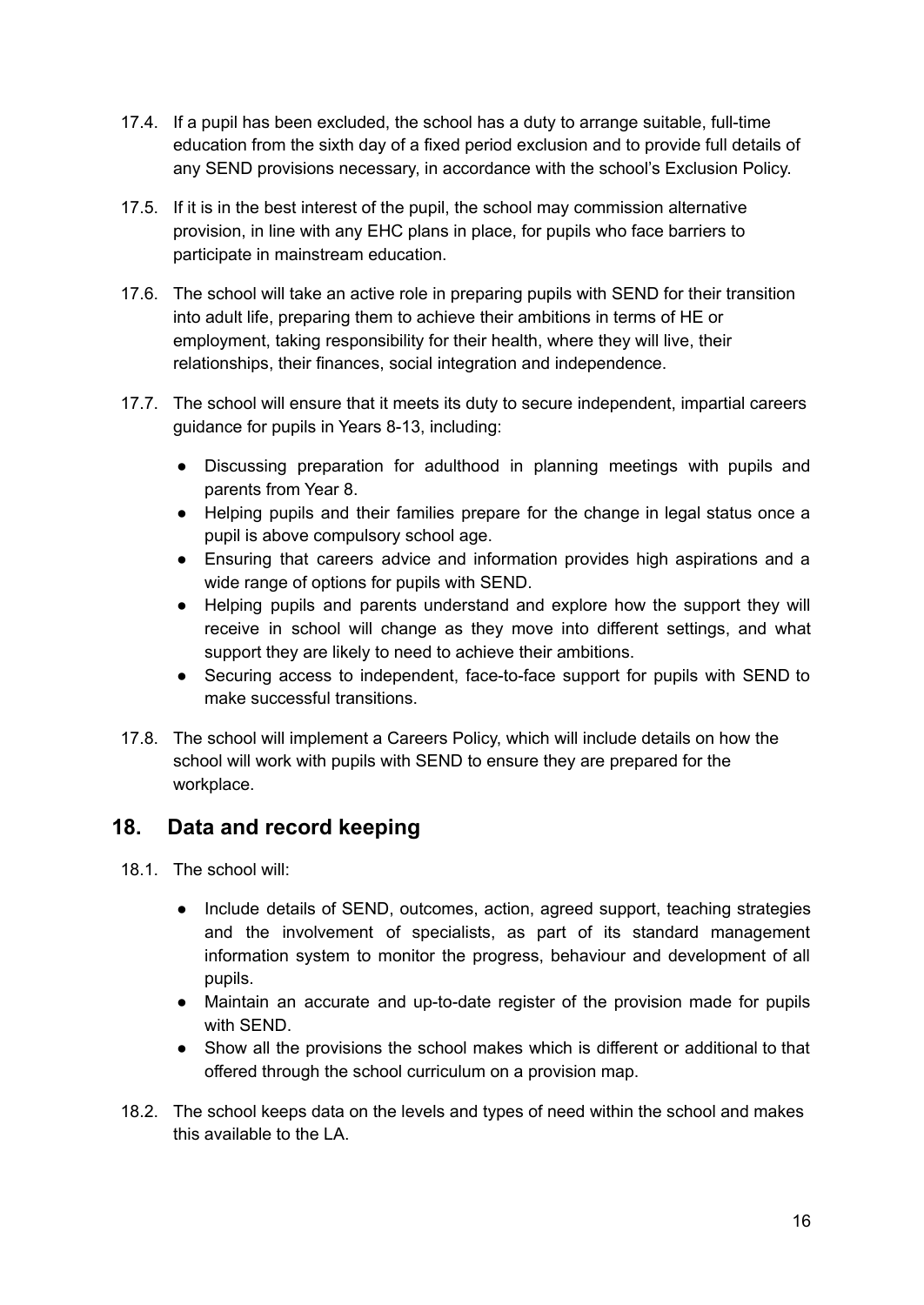- 17.4. If a pupil has been excluded, the school has a duty to arrange suitable, full-time education from the sixth day of a fixed period exclusion and to provide full details of any SEND provisions necessary, in accordance with the school's Exclusion Policy.
- 17.5. If it is in the best interest of the pupil, the school may commission alternative provision, in line with any EHC plans in place, for pupils who face barriers to participate in mainstream education.
- 17.6. The school will take an active role in preparing pupils with SEND for their transition into adult life, preparing them to achieve their ambitions in terms of HE or employment, taking responsibility for their health, where they will live, their relationships, their finances, social integration and independence.
- 17.7. The school will ensure that it meets its duty to secure independent, impartial careers guidance for pupils in Years 8-13, including:
	- Discussing preparation for adulthood in planning meetings with pupils and parents from Year 8.
	- Helping pupils and their families prepare for the change in legal status once a pupil is above compulsory school age.
	- Ensuring that careers advice and information provides high aspirations and a wide range of options for pupils with SEND.
	- Helping pupils and parents understand and explore how the support they will receive in school will change as they move into different settings, and what support they are likely to need to achieve their ambitions.
	- Securing access to independent, face-to-face support for pupils with SEND to make successful transitions.
- 17.8. The school will implement a Careers Policy, which will include details on how the school will work with pupils with SEND to ensure they are prepared for the workplace.

## <span id="page-16-0"></span>**18. Data and record keeping**

- 18.1. The school will:
	- Include details of SEND, outcomes, action, agreed support, teaching strategies and the involvement of specialists, as part of its standard management information system to monitor the progress, behaviour and development of all pupils.
	- Maintain an accurate and up-to-date register of the provision made for pupils with SEND.
	- Show all the provisions the school makes which is different or additional to that offered through the school curriculum on a provision map.
- 18.2. The school keeps data on the levels and types of need within the school and makes this available to the LA.